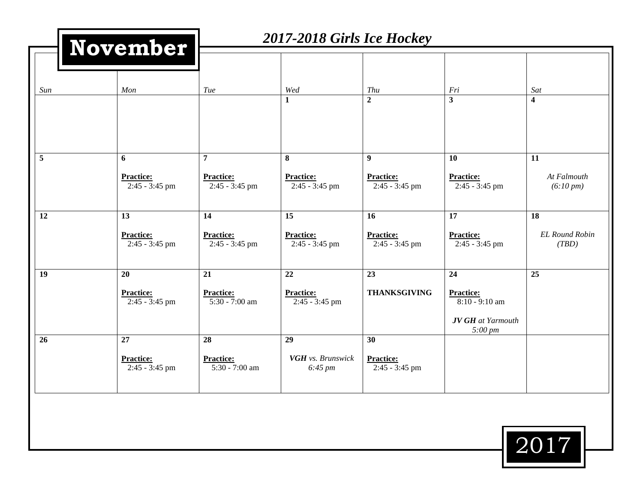|                         | November                                   |                                                        | 2017-2018 Girls Ice Hockey                     |                                           |                                            |                                      |  |  |
|-------------------------|--------------------------------------------|--------------------------------------------------------|------------------------------------------------|-------------------------------------------|--------------------------------------------|--------------------------------------|--|--|
| Sun                     | Mon                                        | Tue                                                    | Wed<br>1                                       | Thu<br>$\overline{2}$                     | Fri<br>$\overline{\mathbf{3}}$             | Sat<br>$\overline{\mathbf{4}}$       |  |  |
| $\overline{\mathbf{5}}$ | 6<br><b>Practice:</b><br>$2:45 - 3:45$ pm  | $\overline{7}$<br><b>Practice:</b><br>$2:45 - 3:45$ pm | 8<br><b>Practice:</b><br>2:45 - 3:45 pm        | 9<br><b>Practice:</b><br>$2:45 - 3:45$ pm | 10<br><b>Practice:</b><br>$2:45 - 3:45$ pm | 11<br>At Falmouth<br>$(6:10 \, pm)$  |  |  |
| 12                      | 13<br><b>Practice:</b><br>$2:45 - 3:45$ pm | 14<br><b>Practice:</b><br>$2:45 - 3:45$ pm             | 15<br><b>Practice:</b><br>$2:45 - 3:45$ pm     | 16<br><b>Practice:</b><br>2:45 - 3:45 pm  | 17<br>Practice:<br>$2:45 - 3:45$ pm        | 18<br><b>EL Round Robin</b><br>(TBD) |  |  |
| 19                      | 20<br><b>Practice:</b><br>$2:45 - 3:45$ pm | 21<br><b>Practice:</b><br>5:30 - 7:00 am               | 22<br><b>Practice:</b><br>$2:45 - 3:45$ pm     | 23<br><b>THANKSGIVING</b>                 | 24<br><b>Practice:</b><br>$8:10 - 9:10$ am | 25                                   |  |  |
| 26                      | 27<br><b>Practice:</b><br>$2:45 - 3:45$ pm | 28<br><b>Practice:</b><br>$5:30 - 7:00$ am             | 29<br>VGH vs. Brunswick<br>$6:45 \, \text{pm}$ | 30<br><b>Practice:</b><br>2:45 - 3:45 pm  | <b>JV GH</b> at Yarmouth<br>$5:00 \, pm$   |                                      |  |  |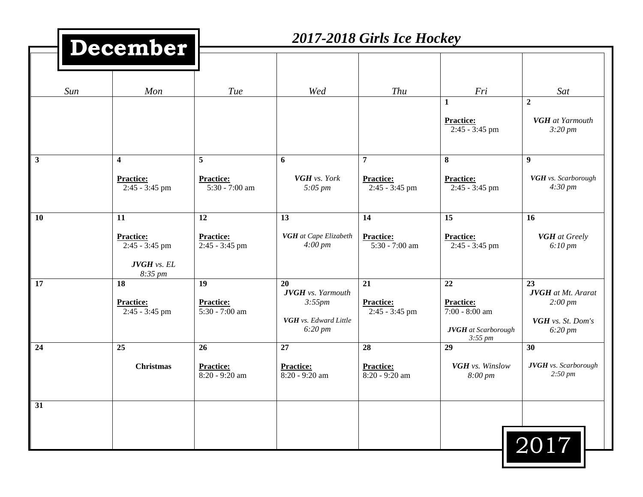|    |     | December                                                                    | 2017-2018 Girls Ice Hockey                 |                                                                                          |                                                        |                                                                                          |                                                                                             |
|----|-----|-----------------------------------------------------------------------------|--------------------------------------------|------------------------------------------------------------------------------------------|--------------------------------------------------------|------------------------------------------------------------------------------------------|---------------------------------------------------------------------------------------------|
|    |     |                                                                             |                                            |                                                                                          |                                                        |                                                                                          |                                                                                             |
|    | Sun | Mon                                                                         | Tue                                        | Wed                                                                                      | Thu                                                    | Fri                                                                                      | Sat                                                                                         |
|    |     |                                                                             |                                            |                                                                                          |                                                        | $\mathbf{1}$<br>Practice:<br>2:45 - 3:45 pm                                              | $\overline{2}$<br>VGH at Yarmouth<br>$3:20 \, \text{pm}$                                    |
| 3  |     | $\overline{\mathbf{4}}$<br><b>Practice:</b><br>$2:45 - 3:45$ pm             | 5<br><b>Practice:</b><br>5:30 - 7:00 am    | 6<br><b>VGH</b> vs. York<br>$5:05 \, \text{pm}$                                          | $\overline{7}$<br><b>Practice:</b><br>$2:45 - 3:45$ pm | 8<br><b>Practice:</b><br>$2:45 - 3:45$ pm                                                | 9<br>VGH vs. Scarborough<br>$4:30 \, \text{pm}$                                             |
| 10 |     | 11<br><b>Practice:</b><br>$2:45 - 3:45$ pm<br><b>JVGH</b> vs. EL<br>8:35 pm | 12<br><b>Practice:</b><br>2:45 - 3:45 pm   | 13<br>VGH at Cape Elizabeth<br>$4:00 \, \text{pm}$                                       | 14<br><b>Practice:</b><br>5:30 - 7:00 am               | 15<br><b>Practice:</b><br>2:45 - 3:45 pm                                                 | 16<br><b>VGH</b> at Greely<br>$6:10 \, \text{pm}$                                           |
| 17 |     | 18<br><b>Practice:</b><br>$2:45 - 3:45$ pm                                  | 19<br><b>Practice:</b><br>5:30 - 7:00 am   | 20<br><b>JVGH</b> vs. Yarmouth<br>3:55pm<br>VGH vs. Edward Little<br>$6:20 \, \text{pm}$ | 21<br><b>Practice:</b><br>$2:45 - 3:45$ pm             | 22<br><b>Practice:</b><br>$7:00 - 8:00$ am<br><b>JVGH</b> at Scarborough<br>$3:55 \, pm$ | 23<br><b>JVGH</b> at Mt. Ararat<br>$2:00 \, pm$<br>VGH vs. St. Dom's<br>$6:20 \, \text{pm}$ |
| 24 |     | 25<br><b>Christmas</b>                                                      | 26<br><b>Practice:</b><br>$8:20 - 9:20$ am | 27<br><b>Practice:</b><br>8:20 - 9:20 am                                                 | 28<br><b>Practice:</b><br>8:20 - 9:20 am               | 29<br>VGH vs. Winslow<br>$8:00 \, \text{pm}$                                             | 30<br><b>JVGH</b> vs. Scarborough<br>$2:50 \, \text{pm}$                                    |
| 31 |     |                                                                             |                                            |                                                                                          |                                                        |                                                                                          | 2017                                                                                        |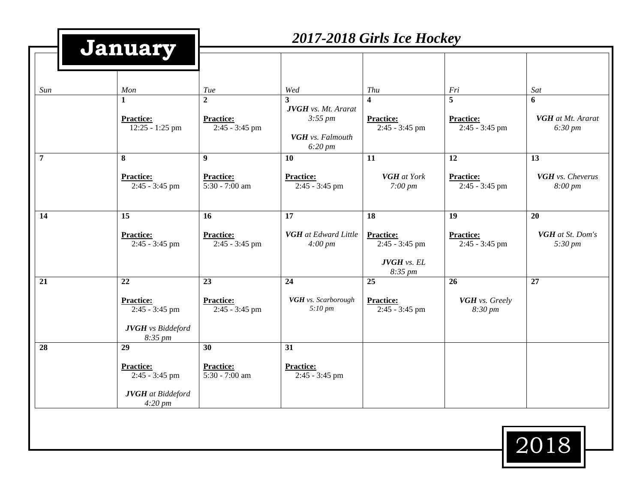|                | January                                                                           | 2017-2018 Girls Ice Hockey                                  |                                                                                            |                                                                           |                                                             |                                                      |
|----------------|-----------------------------------------------------------------------------------|-------------------------------------------------------------|--------------------------------------------------------------------------------------------|---------------------------------------------------------------------------|-------------------------------------------------------------|------------------------------------------------------|
| Sun            | Mon<br>$\mathbf{1}$<br><b>Practice:</b><br>$12:25 - 1:25$ pm                      | Tue<br>$\overline{2}$<br><b>Practice:</b><br>2:45 - 3:45 pm | Wed<br>3<br><b>JVGH</b> vs. Mt. Ararat<br>$3:55 \, pm$<br>VGH vs. Falmouth<br>$6:20 \, pm$ | Thu<br>4<br><b>Practice:</b><br>2:45 - 3:45 pm                            | Fri<br>$\overline{5}$<br><b>Practice:</b><br>2:45 - 3:45 pm | Sat<br>6<br>VGH at Mt. Ararat<br>$6:30 \, \text{pm}$ |
| $\overline{7}$ | 8<br><b>Practice:</b><br>$2:45 - 3:45$ pm                                         | 9<br><b>Practice:</b><br>5:30 - 7:00 am                     | 10<br><b>Practice:</b><br>$2:45 - 3:45$ pm                                                 | 11<br><b>VGH</b> at York<br>$7:00 \, \text{pm}$                           | 12<br><b>Practice:</b><br>2:45 - 3:45 pm                    | 13<br>VGH vs. Cheverus<br>$8:00 \, \text{pm}$        |
| 14             | 15<br><b>Practice:</b><br>2:45 - 3:45 pm                                          | 16<br><b>Practice:</b><br>$2:45 - 3:45$ pm                  | 17<br><b>VGH</b> at Edward Little<br>$4:00 \, \text{pm}$                                   | 18<br><b>Practice:</b><br>2:45 - 3:45 pm<br><b>JVGH</b> vs. EL<br>8:35 pm | 19<br><b>Practice:</b><br>2:45 - 3:45 pm                    | 20<br>VGH at St. Dom's<br>$5:30 \, \text{pm}$        |
| 21             | 22<br><b>Practice:</b><br>2:45 - 3:45 pm<br><b>JVGH</b> vs Biddeford<br>8:35 pm   | 23<br><b>Practice:</b><br>2:45 - 3:45 pm                    | 24<br>VGH vs. Scarborough<br>$5:10 \, \text{pm}$                                           | 25<br><b>Practice:</b><br>2:45 - 3:45 pm                                  | 26<br>VGH vs. Greely<br>8:30 pm                             | 27                                                   |
| 28             | 29<br><b>Practice:</b><br>$2:45 - 3:45$ pm<br><b>JVGH</b> at Biddeford<br>4:20 pm | 30<br><b>Practice:</b><br>5:30 - 7:00 am                    | 31<br><b>Practice:</b><br>$2:45 - 3:45$ pm                                                 |                                                                           |                                                             |                                                      |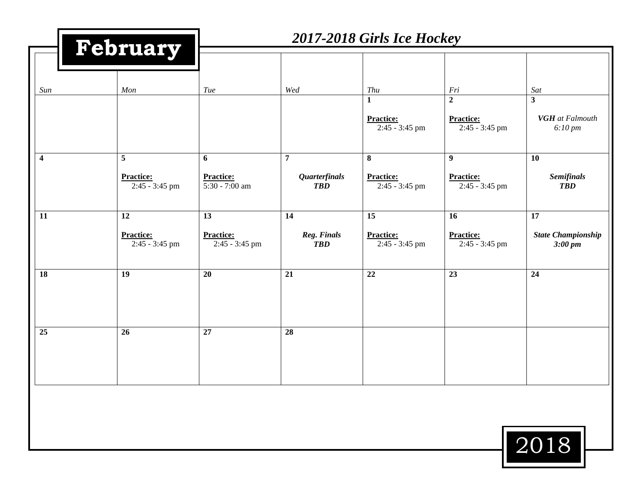|                  | February                           | 2017-2018 Girls Ice Hockey         |                                    |                                                    |                                                        |                                                                          |
|------------------|------------------------------------|------------------------------------|------------------------------------|----------------------------------------------------|--------------------------------------------------------|--------------------------------------------------------------------------|
|                  |                                    |                                    |                                    |                                                    |                                                        |                                                                          |
| Sun              | Mon                                | Tue                                | Wed                                | Thu                                                | Fri                                                    | Sat                                                                      |
|                  |                                    |                                    |                                    | $\mathbf{1}$<br><b>Practice:</b><br>2:45 - 3:45 pm | $\boldsymbol{2}$<br><b>Practice:</b><br>2:45 - 3:45 pm | $\overline{\mathbf{3}}$<br><b>VGH</b> at Falmouth<br>$6:10 \, \text{pm}$ |
| $\boldsymbol{4}$ | 5                                  | 6                                  | $\overline{7}$                     | $\bf{8}$                                           | $\boldsymbol{9}$                                       | <b>10</b>                                                                |
|                  | <b>Practice:</b><br>2:45 - 3:45 pm | <b>Practice:</b><br>5:30 - 7:00 am | <b>Quarterfinals</b><br><b>TBD</b> | <b>Practice:</b><br>2:45 - 3:45 pm                 | <b>Practice:</b><br>2:45 - 3:45 pm                     | <b>Semifinals</b><br><b>TBD</b>                                          |
| 11               | 12                                 | 13                                 | 14                                 | $\overline{15}$                                    | 16                                                     | $\overline{17}$                                                          |
|                  | <b>Practice:</b><br>2:45 - 3:45 pm | <b>Practice:</b><br>2:45 - 3:45 pm | Reg. Finals<br><b>TBD</b>          | <b>Practice:</b><br>2:45 - 3:45 pm                 | <b>Practice:</b><br>2:45 - 3:45 pm                     | <b>State Championship</b><br>$3:00 \, \text{pm}$                         |
| 18               | 19                                 | 20                                 | 21                                 | $\overline{22}$                                    | $\overline{23}$                                        | 24                                                                       |
| $\overline{25}$  | 26                                 | $\overline{27}$                    | $\overline{28}$                    |                                                    |                                                        |                                                                          |
|                  |                                    |                                    |                                    |                                                    |                                                        | $\boxed{2018}$                                                           |